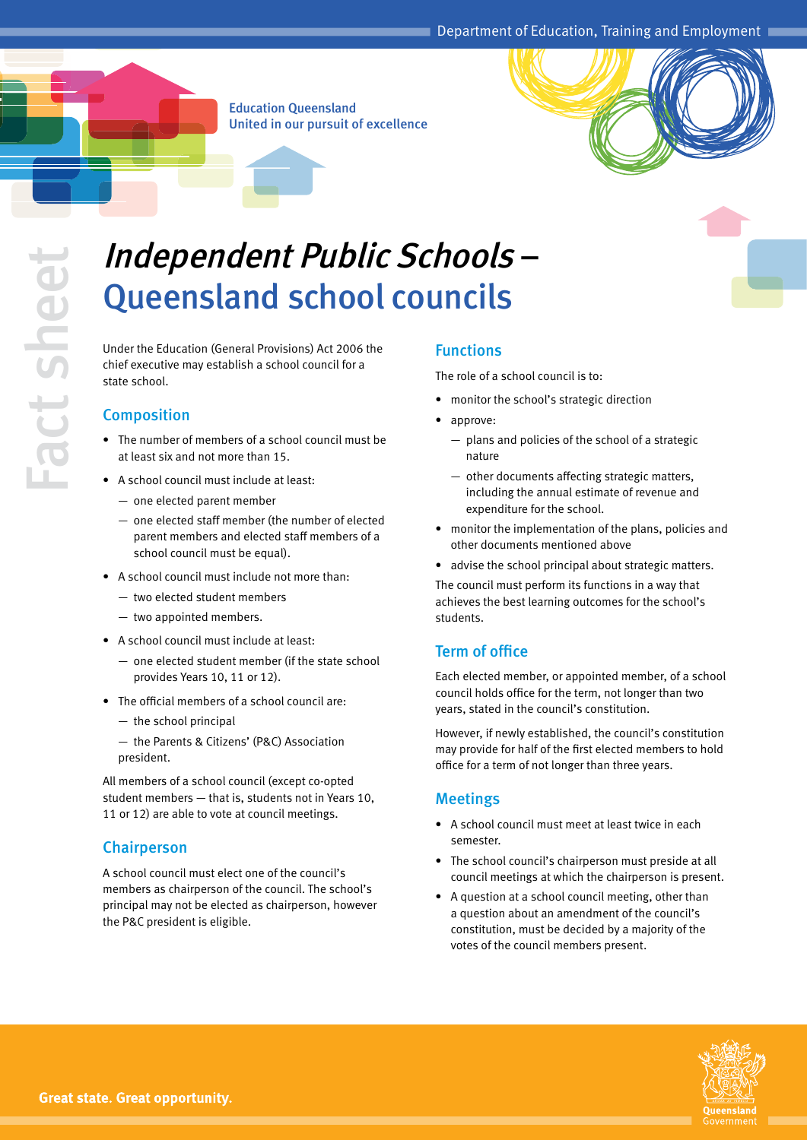Education Queensland United in our pursuit of excellence

# Independent Public Schools – Queensland school councils

Under the Education (General Provisions) Act 2006 the chief executive may establish a school council for a state school.

# **Composition**

- The number of members of a school council must be at least six and not more than 15.
- • A school council must include at least:
	- one elected parent member
	- one elected staff member (the number of elected parent members and elected staff members of a school council must be equal).
- • A school council must include not more than:
	- two elected student members
	- two appointed members.
- A school council must include at least:
	- one elected student member (if the state school provides Years 10, 11 or 12).
- The official members of a school council are:
	- the school principal
	- the Parents & Citizens' (P&C) Association president.

All members of a school council (except co-opted student members — that is, students not in Years 10, 11 or 12) are able to vote at council meetings.

#### Chairperson

A school council must elect one of the council's members as chairperson of the council. The school's principal may not be elected as chairperson, however the P&C president is eligible.

### Functions

The role of a school council is to:

- monitor the school's strategic direction
- approve:
	- plans and policies of the school of a strategic nature
	- other documents affecting strategic matters, including the annual estimate of revenue and expenditure for the school.
- monitor the implementation of the plans, policies and other documents mentioned above
- advise the school principal about strategic matters.

The council must perform its functions in a way that achieves the best learning outcomes for the school's students.

## Term of office

Each elected member, or appointed member, of a school council holds office for the term, not longer than two years, stated in the council's constitution.

However, if newly established, the council's constitution may provide for half of the first elected members to hold office for a term of not longer than three years.

#### Meetings

- A school council must meet at least twice in each semester.
- The school council's chairperson must preside at all council meetings at which the chairperson is present.
- A question at a school council meeting, other than a question about an amendment of the council's constitution, must be decided by a majority of the votes of the council members present.